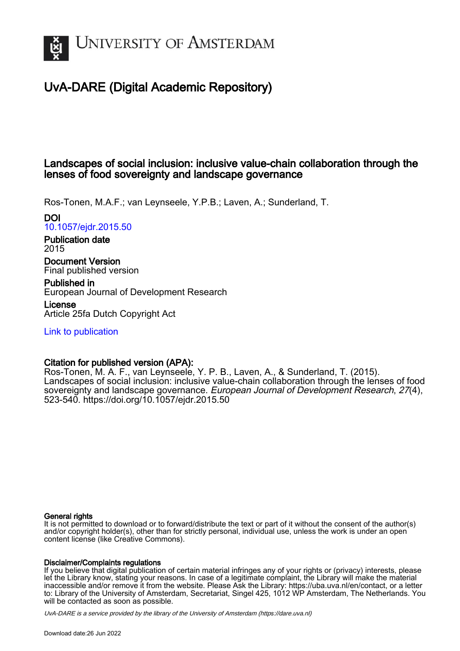

# UvA-DARE (Digital Academic Repository)

## Landscapes of social inclusion: inclusive value-chain collaboration through the lenses of food sovereignty and landscape governance

Ros-Tonen, M.A.F.; van Leynseele, Y.P.B.; Laven, A.; Sunderland, T.

DOI

[10.1057/ejdr.2015.50](https://doi.org/10.1057/ejdr.2015.50)

Publication date 2015

Document Version Final published version

Published in European Journal of Development Research

License Article 25fa Dutch Copyright Act

[Link to publication](https://dare.uva.nl/personal/pure/en/publications/landscapes-of-social-inclusion-inclusive-valuechain-collaboration-through-the-lenses-of-food-sovereignty-and-landscape-governance(2e10522a-e711-4072-b857-a0631d22328a).html)

## Citation for published version (APA):

Ros-Tonen, M. A. F., van Leynseele, Y. P. B., Laven, A., & Sunderland, T. (2015). Landscapes of social inclusion: inclusive value-chain collaboration through the lenses of food sovereignty and landscape governance. European Journal of Development Research, 27(4), 523-540. <https://doi.org/10.1057/ejdr.2015.50>

### General rights

It is not permitted to download or to forward/distribute the text or part of it without the consent of the author(s) and/or copyright holder(s), other than for strictly personal, individual use, unless the work is under an open content license (like Creative Commons).

### Disclaimer/Complaints regulations

If you believe that digital publication of certain material infringes any of your rights or (privacy) interests, please let the Library know, stating your reasons. In case of a legitimate complaint, the Library will make the material inaccessible and/or remove it from the website. Please Ask the Library: https://uba.uva.nl/en/contact, or a letter to: Library of the University of Amsterdam, Secretariat, Singel 425, 1012 WP Amsterdam, The Netherlands. You will be contacted as soon as possible.

UvA-DARE is a service provided by the library of the University of Amsterdam (http*s*://dare.uva.nl)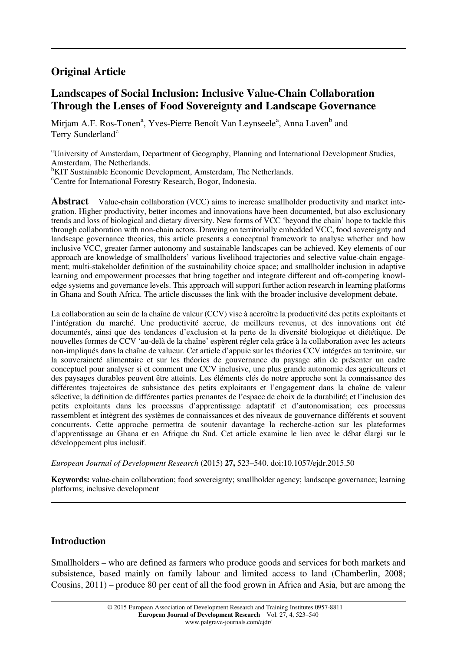## Original Article

## Landscapes of Social Inclusion: Inclusive Value-Chain Collaboration Through the Lenses of Food Sovereignty and Landscape Governance

Mirjam A.F. Ros-Tonen<sup>a</sup>, Yves-Pierre Benoît Van Leynseele<sup>a</sup>, Anna Laven<sup>b</sup> and Terry Sunderland<sup>c</sup>

<sup>a</sup>University of Amsterdam, Department of Geography, Planning and International Development Studies, Amsterdam, The Netherlands.

<sup>b</sup>KIT Sustainable Economic Development, Amsterdam, The Netherlands.

c Centre for International Forestry Research, Bogor, Indonesia.

**Abstract** Value-chain collaboration (VCC) aims to increase smallholder productivity and market integration. Higher productivity, better incomes and innovations have been documented, but also exclusionary trends and loss of biological and dietary diversity. New forms of VCC 'beyond the chain' hope to tackle this through collaboration with non-chain actors. Drawing on territorially embedded VCC, food sovereignty and landscape governance theories, this article presents a conceptual framework to analyse whether and how inclusive VCC, greater farmer autonomy and sustainable landscapes can be achieved. Key elements of our approach are knowledge of smallholders' various livelihood trajectories and selective value-chain engagement; multi-stakeholder definition of the sustainability choice space; and smallholder inclusion in adaptive learning and empowerment processes that bring together and integrate different and oft-competing knowledge systems and governance levels. This approach will support further action research in learning platforms in Ghana and South Africa. The article discusses the link with the broader inclusive development debate.

La collaboration au sein de la chaîne de valeur (CCV) vise à accroître la productivité des petits exploitants et l'intégration du marché. Une productivité accrue, de meilleurs revenus, et des innovations ont été documentés, ainsi que des tendances d'exclusion et la perte de la diversité biologique et diététique. De nouvelles formes de CCV 'au-delà de la chaîne' espèrent régler cela grâce à la collaboration avec les acteurs non-impliqués dans la chaîne de valueur. Cet article d'appuie sur les théories CCV intégrées au territoire, sur la souveraineté alimentaire et sur les théories de gouvernance du paysage afin de présenter un cadre conceptuel pour analyser si et comment une CCV inclusive, une plus grande autonomie des agriculteurs et des paysages durables peuvent être atteints. Les éléments clés de notre approche sont la connaissance des différentes trajectoires de subsistance des petits exploitants et l'engagement dans la chaîne de valeur sélective; la définition de différentes parties prenantes de l'espace de choix de la durabilité; et l'inclusion des petits exploitants dans les processus d'apprentissage adaptatif et d'autonomisation; ces processus rassemblent et intègrent des systèmes de connaissances et des niveaux de gouvernance différents et souvent concurrents. Cette approche permettra de soutenir davantage la recherche-action sur les plateformes d'apprentissage au Ghana et en Afrique du Sud. Cet article examine le lien avec le débat élargi sur le développement plus inclusif.

European Journal of Development Research (2015) 27, 523–540. doi[:10.1057/ejdr.2015.50](http://dx.doi.org/10.1057/ejdr.2015.50)

Keywords: value-chain collaboration; food sovereignty; smallholder agency; landscape governance; learning platforms; inclusive development

## **Introduction**

Smallholders – who are defined as farmers who produce goods and services for both markets and subsistence, based mainly on family labour and limited access to land [\(Chamberlin, 2008](#page-14-0); [Cousins, 2011](#page-14-0)) – produce 80 per cent of all the food grown in Africa and Asia, but are among the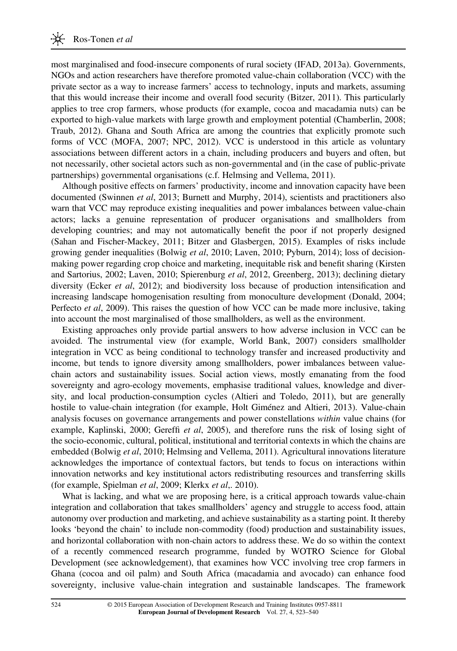most marginalised and food-insecure components of rural society [\(IFAD, 2013a\)](#page-15-0). Governments, NGOs and action researchers have therefore promoted value-chain collaboration (VCC) with the private sector as a way to increase farmers' access to technology, inputs and markets, assuming that this would increase their income and overall food security ([Bitzer, 2011](#page-14-0)). This particularly applies to tree crop farmers, whose products (for example, cocoa and macadamia nuts) can be exported to high-value markets with large growth and employment potential ([Chamberlin, 2008](#page-14-0); [Traub, 2012](#page-17-0)). Ghana and South Africa are among the countries that explicitly promote such forms of VCC ([MOFA, 2007](#page-16-0); [NPC, 2012\)](#page-16-0). VCC is understood in this article as voluntary associations between different actors in a chain, including producers and buyers and often, but not necessarily, other societal actors such as non-governmental and (in the case of public-private partnerships) governmental organisations (c.f. [Helmsing and Vellema, 2011](#page-15-0)).

Although positive effects on farmers' productivity, income and innovation capacity have been documented ([Swinnen](#page-17-0) *et al*, 2013; [Burnett and Murphy, 2014](#page-14-0)), scientists and practitioners also warn that VCC may reproduce existing inequalities and power imbalances between value-chain actors; lacks a genuine representation of producer organisations and smallholders from developing countries; and may not automatically benefit the poor if not properly designed ([Sahan and Fischer-Mackey, 2011;](#page-17-0) [Bitzer and Glasbergen, 2015\)](#page-14-0). Examples of risks include growing gender inequalities ([Bolwig](#page-14-0) et al, 2010; [Laven, 2010;](#page-16-0) [Pyburn, 2014](#page-17-0)); loss of decisionmaking power regarding crop choice and marketing, inequitable risk and benefit sharing ([Kirsten](#page-15-0) [and Sartorius, 2002;](#page-15-0) [Laven, 2010](#page-16-0); [Spierenburg](#page-17-0) et al, 2012, [Greenberg, 2013\)](#page-15-0); declining dietary diversity (Ecker *et al*[, 2012\)](#page-15-0); and biodiversity loss because of production intensification and increasing landscape homogenisation resulting from monoculture development [\(Donald, 2004](#page-15-0); [Perfecto](#page-16-0) *et al*, 2009). This raises the question of how VCC can be made more inclusive, taking into account the most marginalised of those smallholders, as well as the environment.

Existing approaches only provide partial answers to how adverse inclusion in VCC can be avoided. The instrumental view (for example, [World Bank, 2007](#page-18-0)) considers smallholder integration in VCC as being conditional to technology transfer and increased productivity and income, but tends to ignore diversity among smallholders, power imbalances between valuechain actors and sustainability issues. Social action views, mostly emanating from the food sovereignty and agro-ecology movements, emphasise traditional values, knowledge and diversity, and local production-consumption cycles [\(Altieri and Toledo, 2011](#page-13-0)), but are generally hostile to value-chain integration (for example, [Holt Giménez and Altieri, 2013](#page-15-0)). Value-chain analysis focuses on governance arrangements and power constellations within value chains (for example, [Kaplinski, 2000;](#page-15-0) Gereffi et al[, 2005](#page-15-0)), and therefore runs the risk of losing sight of the socio-economic, cultural, political, institutional and territorial contexts in which the chains are embedded ([Bolwig](#page-14-0) et al, 2010; [Helmsing and Vellema, 2011\)](#page-15-0). Agricultural innovations literature acknowledges the importance of contextual factors, but tends to focus on interactions within innovation networks and key institutional actors redistributing resources and transferring skills (for example, [Spielman](#page-17-0) et al, 2009; Klerkx et al[,. 2010\)](#page-16-0).

What is lacking, and what we are proposing here, is a critical approach towards value-chain integration and collaboration that takes smallholders' agency and struggle to access food, attain autonomy over production and marketing, and achieve sustainability as a starting point. It thereby looks 'beyond the chain' to include non-commodity (food) production and sustainability issues, and horizontal collaboration with non-chain actors to address these. We do so within the context of a recently commenced research programme, funded by WOTRO Science for Global Development (see acknowledgement), that examines how VCC involving tree crop farmers in Ghana (cocoa and oil palm) and South Africa (macadamia and avocado) can enhance food sovereignty, inclusive value-chain integration and sustainable landscapes. The framework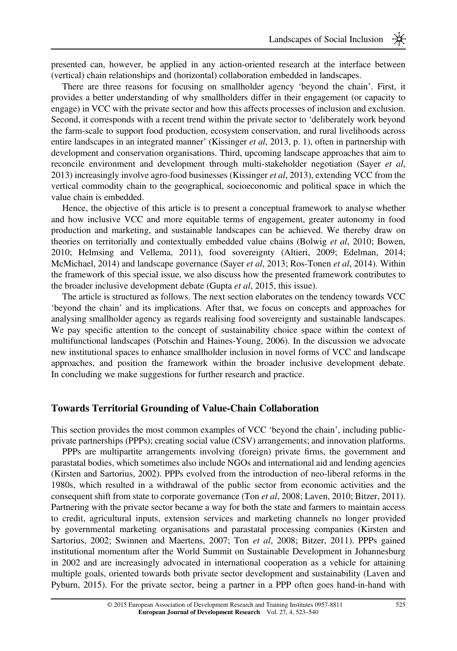presented can, however, be applied in any action-oriented research at the interface between (vertical) chain relationships and (horizontal) collaboration embedded in landscapes.

There are three reasons for focusing on smallholder agency 'beyond the chain'. First, it provides a better understanding of why smallholders differ in their engagement (or capacity to engage) in VCC with the private sector and how this affects processes of inclusion and exclusion. Second, it corresponds with a recent trend within the private sector to 'deliberately work beyond the farm-scale to support food production, ecosystem conservation, and rural livelihoods across entire landscapes in an integrated manner' ([Kissinger](#page-15-0) et al, 2013, p. 1), often in partnership with development and conservation organisations. Third, upcoming landscape approaches that aim to reconcile environment and development through multi-stakeholder negotiation ([Sayer](#page-17-0) et al, [2013](#page-17-0)) increasingly involve agro-food businesses [\(Kissinger](#page-15-0) *et al*, 2013), extending VCC from the vertical commodity chain to the geographical, socioeconomic and political space in which the value chain is embedded.

Hence, the objective of this article is to present a conceptual framework to analyse whether and how inclusive VCC and more equitable terms of engagement, greater autonomy in food production and marketing, and sustainable landscapes can be achieved. We thereby draw on theories on territorially and contextually embedded value chains ([Bolwig](#page-14-0) et al, 2010; [Bowen,](#page-14-0) [2010](#page-14-0); [Helmsing and Vellema, 2011](#page-15-0)), food sovereignty ([Altieri, 2009;](#page-13-0) [Edelman, 2014](#page-15-0); [McMichael, 2014\)](#page-16-0) and landscape governance (Sayer et al[, 2013](#page-17-0); [Ros-Tonen](#page-17-0) et al, 2014). Within the framework of this special issue, we also discuss how the presented framework contributes to the broader inclusive development debate (Gupta *et al*[, 2015](#page-15-0), this issue).

The article is structured as follows. The next section elaborates on the tendency towards VCC 'beyond the chain' and its implications. After that, we focus on concepts and approaches for analysing smallholder agency as regards realising food sovereignty and sustainable landscapes. We pay specific attention to the concept of sustainability choice space within the context of multifunctional landscapes ([Potschin and Haines-Young, 2006](#page-17-0)). In the discussion we advocate new institutional spaces to enhance smallholder inclusion in novel forms of VCC and landscape approaches, and position the framework within the broader inclusive development debate. In concluding we make suggestions for further research and practice.

#### Towards Territorial Grounding of Value-Chain Collaboration

This section provides the most common examples of VCC 'beyond the chain', including publicprivate partnerships (PPPs); creating social value (CSV) arrangements; and innovation platforms.

PPPs are multipartite arrangements involving (foreign) private firms, the government and parastatal bodies, which sometimes also include NGOs and international aid and lending agencies ([Kirsten and Sartorius, 2002](#page-15-0)). PPPs evolved from the introduction of neo-liberal reforms in the 1980s, which resulted in a withdrawal of the public sector from economic activities and the consequent shift from state to corporate governance (Ton *et al*[, 2008](#page-18-0); [Laven, 2010;](#page-16-0) [Bitzer, 2011](#page-14-0)). Partnering with the private sector became a way for both the state and farmers to maintain access to credit, agricultural inputs, extension services and marketing channels no longer provided by governmental marketing organisations and parastatal processing companies ([Kirsten and](#page-15-0) [Sartorius, 2002;](#page-15-0) [Swinnen and Maertens, 2007;](#page-17-0) Ton et al[, 2008;](#page-18-0) [Bitzer, 2011\)](#page-14-0). PPPs gained institutional momentum after the World Summit on Sustainable Development in Johannesburg in 2002 and are increasingly advocated in international cooperation as a vehicle for attaining multiple goals, oriented towards both private sector development and sustainability ([Laven and](#page-16-0) [Pyburn, 2015](#page-16-0)). For the private sector, being a partner in a PPP often goes hand-in-hand with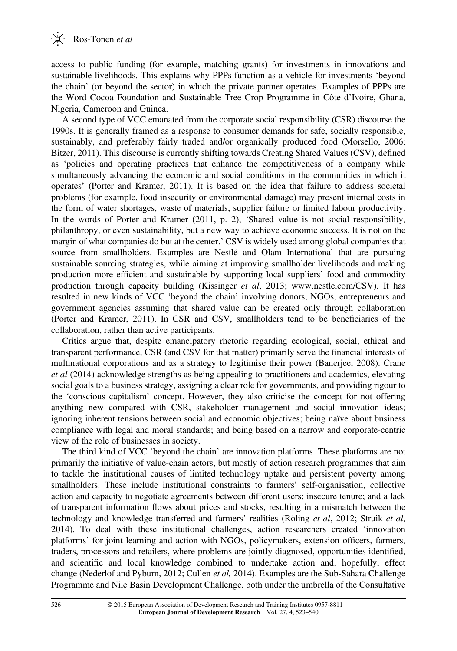access to public funding (for example, matching grants) for investments in innovations and sustainable livelihoods. This explains why PPPs function as a vehicle for investments 'beyond the chain' (or beyond the sector) in which the private partner operates. Examples of PPPs are the Word Cocoa Foundation and Sustainable Tree Crop Programme in Côte d'Ivoire, Ghana, Nigeria, Cameroon and Guinea.

A second type of VCC emanated from the corporate social responsibility (CSR) discourse the 1990s. It is generally framed as a response to consumer demands for safe, socially responsible, sustainably, and preferably fairly traded and/or organically produced food [\(Morsello, 2006](#page-16-0); [Bitzer, 2011\)](#page-14-0). This discourse is currently shifting towards Creating Shared Values (CSV), defined as 'policies and operating practices that enhance the competitiveness of a company while simultaneously advancing the economic and social conditions in the communities in which it operates' ([Porter and Kramer, 2011\)](#page-17-0). It is based on the idea that failure to address societal problems (for example, food insecurity or environmental damage) may present internal costs in the form of water shortages, waste of materials, supplier failure or limited labour productivity. In the words of [Porter and Kramer \(2011,](#page-17-0) p. 2), 'Shared value is not social responsibility, philanthropy, or even sustainability, but a new way to achieve economic success. It is not on the margin of what companies do but at the center.' CSV is widely used among global companies that source from smallholders. Examples are Nestlé and Olam International that are pursuing sustainable sourcing strategies, while aiming at improving smallholder livelihoods and making production more efficient and sustainable by supporting local suppliers' food and commodity production through capacity building ([Kissinger](#page-15-0) et al, 2013;<www.nestle.com/CSV>). It has resulted in new kinds of VCC 'beyond the chain' involving donors, NGOs, entrepreneurs and government agencies assuming that shared value can be created only through collaboration ([Porter and Kramer, 2011](#page-17-0)). In CSR and CSV, smallholders tend to be beneficiaries of the collaboration, rather than active participants.

Critics argue that, despite emancipatory rhetoric regarding ecological, social, ethical and transparent performance, CSR (and CSV for that matter) primarily serve the financial interests of multinational corporations and as a strategy to legitimise their power ([Banerjee, 2008\)](#page-14-0). [Crane](#page-14-0) et al [\(2014\)](#page-14-0) acknowledge strengths as being appealing to practitioners and academics, elevating social goals to a business strategy, assigning a clear role for governments, and providing rigour to the 'conscious capitalism' concept. However, they also criticise the concept for not offering anything new compared with CSR, stakeholder management and social innovation ideas; ignoring inherent tensions between social and economic objectives; being naïve about business compliance with legal and moral standards; and being based on a narrow and corporate-centric view of the role of businesses in society.

The third kind of VCC 'beyond the chain' are innovation platforms. These platforms are not primarily the initiative of value-chain actors, but mostly of action research programmes that aim to tackle the institutional causes of limited technology uptake and persistent poverty among smallholders. These include institutional constraints to farmers' self-organisation, collective action and capacity to negotiate agreements between different users; insecure tenure; and a lack of transparent information flows about prices and stocks, resulting in a mismatch between the technology and knowledge transferred and farmers' realities [\(Röling](#page-17-0) et al, 2012; [Struik](#page-17-0) et al, [2014](#page-17-0)). To deal with these institutional challenges, action researchers created 'innovation platforms' for joint learning and action with NGOs, policymakers, extension officers, farmers, traders, processors and retailers, where problems are jointly diagnosed, opportunities identified, and scientific and local knowledge combined to undertake action and, hopefully, effect change ([Nederlof and Pyburn, 2012](#page-16-0); [Cullen](#page-14-0) et al, 2014). Examples are the Sub-Sahara Challenge Programme and Nile Basin Development Challenge, both under the umbrella of the Consultative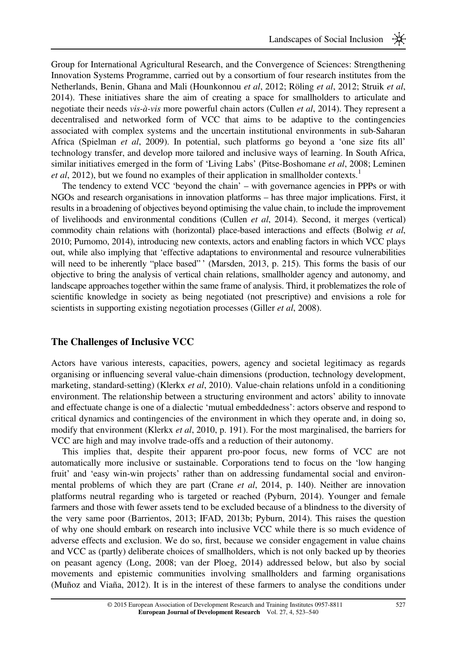Group for International Agricultural Research, and the Convergence of Sciences: Strengthening Innovation Systems Programme, carried out by a consortium of four research institutes from the Netherlands, Benin, Ghana and Mali [\(Hounkonnou](#page-15-0) et al, 2012; [Röling](#page-17-0) et al, 2012; [Struik](#page-17-0) et al, [2014](#page-17-0)). These initiatives share the aim of creating a space for smallholders to articulate and negotiate their needs vis- $\dot{a}$ -vis more powerful chain actors [\(Cullen](#page-14-0) *et al*, 2014). They represent a decentralised and networked form of VCC that aims to be adaptive to the contingencies associated with complex systems and the uncertain institutional environments in sub-Saharan Africa [\(Spielman](#page-17-0) et al, 2009). In potential, such platforms go beyond a 'one size fits all' technology transfer, and develop more tailored and inclusive ways of learning. In South Africa, similar initiatives emerged in the form of 'Living Labs' ([Pitse-Boshomane](#page-16-0) *et al*, 2008; [Leminen](#page-16-0) *et al.* 2012), but we found no examples of their application in smallholder contexts.<sup>1</sup>

The tendency to extend VCC 'beyond the chain' – with governance agencies in PPPs or with NGOs and research organisations in innovation platforms – has three major implications. First, it results in a broadening of objectives beyond optimising the value chain, to include the improvement of livelihoods and environmental conditions (Cullen *et al*[, 2014](#page-14-0)). Second, it merges (vertical) commodity chain relations with (horizontal) place-based interactions and effects [\(Bolwig](#page-14-0) et al, [2010;](#page-14-0) [Purnomo, 2014](#page-17-0)), introducing new contexts, actors and enabling factors in which VCC plays out, while also implying that 'effective adaptations to environmental and resource vulnerabilities will need to be inherently "place based" ' [\(Marsden, 2013,](#page-16-0) p. 215). This forms the basis of our objective to bring the analysis of vertical chain relations, smallholder agency and autonomy, and landscape approaches together within the same frame of analysis. Third, it problematizes the role of scientific knowledge in society as being negotiated (not prescriptive) and envisions a role for scientists in supporting existing negotiation processes (Giller *et al*[, 2008\)](#page-15-0).

## The Challenges of Inclusive VCC

Actors have various interests, capacities, powers, agency and societal legitimacy as regards organising or influencing several value-chain dimensions (production, technology development, marketing, standard-setting) ([Klerkx](#page-16-0) *et al*, 2010). Value-chain relations unfold in a conditioning environment. The relationship between a structuring environment and actors' ability to innovate and effectuate change is one of a dialectic 'mutual embeddedness': actors observe and respond to critical dynamics and contingencies of the environment in which they operate and, in doing so, modify that environment ([Klerkx](#page-16-0) *et al*, 2010, p. 191). For the most marginalised, the barriers for VCC are high and may involve trade-offs and a reduction of their autonomy.

This implies that, despite their apparent pro-poor focus, new forms of VCC are not automatically more inclusive or sustainable. Corporations tend to focus on the 'low hanging fruit' and 'easy win-win projects' rather than on addressing fundamental social and environmental problems of which they are part (Crane *et al*[, 2014](#page-14-0), p. 140). Neither are innovation platforms neutral regarding who is targeted or reached ([Pyburn, 2014](#page-17-0)). Younger and female farmers and those with fewer assets tend to be excluded because of a blindness to the diversity of the very same poor ([Barrientos, 2013](#page-14-0); [IFAD, 2013b;](#page-15-0) [Pyburn, 2014](#page-17-0)). This raises the question of why one should embark on research into inclusive VCC while there is so much evidence of adverse effects and exclusion. We do so, first, because we consider engagement in value chains and VCC as (partly) deliberate choices of smallholders, which is not only backed up by theories on peasant agency ([Long, 2008;](#page-16-0) van der [Ploeg, 2014](#page-17-0)) addressed below, but also by social movements and epistemic communities involving smallholders and farming organisations ([Muñoz and Viaña, 2012\)](#page-16-0). It is in the interest of these farmers to analyse the conditions under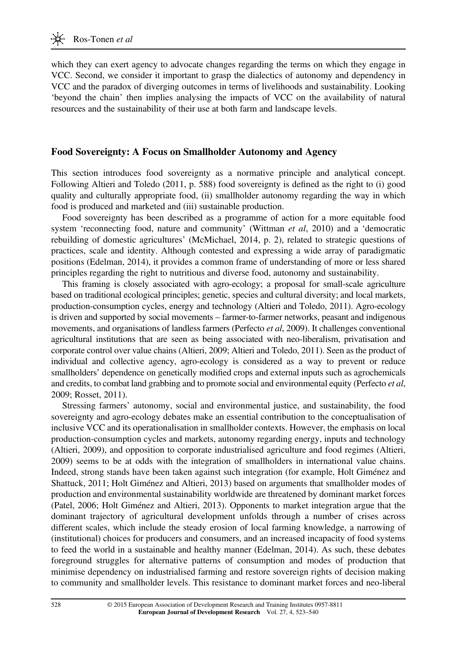which they can exert agency to advocate changes regarding the terms on which they engage in VCC. Second, we consider it important to grasp the dialectics of autonomy and dependency in VCC and the paradox of diverging outcomes in terms of livelihoods and sustainability. Looking 'beyond the chain' then implies analysing the impacts of VCC on the availability of natural resources and the sustainability of their use at both farm and landscape levels.

### Food Sovereignty: A Focus on Smallholder Autonomy and Agency

This section introduces food sovereignty as a normative principle and analytical concept. Following [Altieri and Toledo \(2011,](#page-13-0) p. 588) food sovereignty is defined as the right to (i) good quality and culturally appropriate food, (ii) smallholder autonomy regarding the way in which food is produced and marketed and (iii) sustainable production.

Food sovereignty has been described as a programme of action for a more equitable food system 'reconnecting food, nature and community' ([Wittman](#page-18-0) et al, 2010) and a 'democratic rebuilding of domestic agricultures' [\(McMichael, 2014,](#page-16-0) p. 2), related to strategic questions of practices, scale and identity. Although contested and expressing a wide array of paradigmatic positions ([Edelman, 2014](#page-15-0)), it provides a common frame of understanding of more or less shared principles regarding the right to nutritious and diverse food, autonomy and sustainability.

This framing is closely associated with agro-ecology; a proposal for small-scale agriculture based on traditional ecological principles; genetic, species and cultural diversity; and local markets, production-consumption cycles, energy and technology [\(Altieri and Toledo, 2011\)](#page-13-0). Agro-ecology is driven and supported by social movements – farmer-to-farmer networks, peasant and indigenous movements, and organisations of landless farmers [\(Perfecto](#page-16-0) *et al*, 2009). It challenges conventional agricultural institutions that are seen as being associated with neo-liberalism, privatisation and corporate control over value chains [\(Altieri, 2009](#page-13-0); [Altieri and Toledo, 2011\)](#page-13-0). Seen as the product of individual and collective agency, agro-ecology is considered as a way to prevent or reduce smallholders' dependence on genetically modified crops and external inputs such as agrochemicals and credits, to combat land grabbing and to promote social and environmental equity [\(Perfecto](#page-16-0) *et al*, [2009](#page-16-0); [Rosset, 2011\)](#page-17-0).

Stressing farmers' autonomy, social and environmental justice, and sustainability, the food sovereignty and agro-ecology debates make an essential contribution to the conceptualisation of inclusive VCC and its operationalisation in smallholder contexts. However, the emphasis on local production-consumption cycles and markets, autonomy regarding energy, inputs and technology ([Altieri, 2009\)](#page-13-0), and opposition to corporate industrialised agriculture and food regimes ([Altieri,](#page-13-0) [2009](#page-13-0)) seems to be at odds with the integration of smallholders in international value chains. Indeed, strong stands have been taken against such integration (for example, [Holt Giménez and](#page-15-0) [Shattuck, 2011](#page-15-0); [Holt Giménez and Altieri, 2013\)](#page-15-0) based on arguments that smallholder modes of production and environmental sustainability worldwide are threatened by dominant market forces ([Patel, 2006;](#page-16-0) [Holt Giménez and Altieri, 2013](#page-15-0)). Opponents to market integration argue that the dominant trajectory of agricultural development unfolds through a number of crises across different scales, which include the steady erosion of local farming knowledge, a narrowing of (institutional) choices for producers and consumers, and an increased incapacity of food systems to feed the world in a sustainable and healthy manner ([Edelman, 2014](#page-15-0)). As such, these debates foreground struggles for alternative patterns of consumption and modes of production that minimise dependency on industrialised farming and restore sovereign rights of decision making to community and smallholder levels. This resistance to dominant market forces and neo-liberal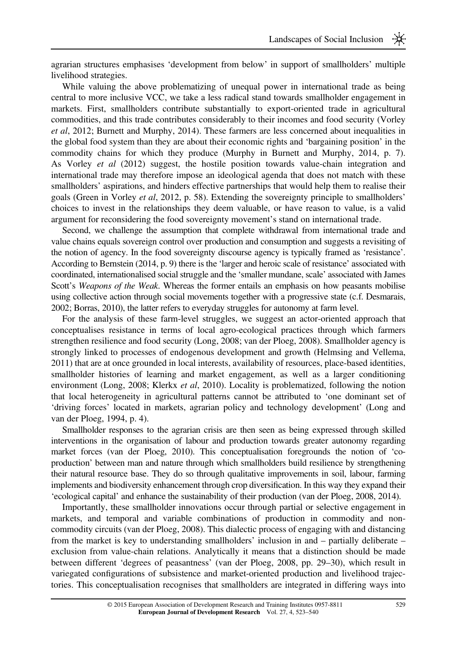agrarian structures emphasises 'development from below' in support of smallholders' multiple livelihood strategies.

While valuing the above problematizing of unequal power in international trade as being central to more inclusive VCC, we take a less radical stand towards smallholder engagement in markets. First, smallholders contribute substantially to export-oriented trade in agricultural commodities, and this trade contributes considerably to their incomes and food security ([Vorley](#page-18-0) et al[, 2012;](#page-18-0) [Burnett and Murphy, 2014\)](#page-14-0). These farmers are less concerned about inequalities in the global food system than they are about their economic rights and 'bargaining position' in the commodity chains for which they produce (Murphy in [Burnett and Murphy, 2014](#page-14-0), p. 7). As [Vorley](#page-18-0) et al (2012) suggest, the hostile position towards value-chain integration and international trade may therefore impose an ideological agenda that does not match with these smallholders' aspirations, and hinders effective partnerships that would help them to realise their goals (Green in [Vorley](#page-18-0) et al, 2012, p. 58). Extending the sovereignty principle to smallholders' choices to invest in the relationships they deem valuable, or have reason to value, is a valid argument for reconsidering the food sovereignty movement's stand on international trade.

Second, we challenge the assumption that complete withdrawal from international trade and value chains equals sovereign control over production and consumption and suggests a revisiting of the notion of agency. In the food sovereignty discourse agency is typically framed as 'resistance'. According to [Bernstein \(2014,](#page-14-0) p. 9) there is the 'larger and heroic scale of resistance' associated with coordinated, internationalised social struggle and the 'smaller mundane, scale' associated with James Scott's *Weapons of the Weak*. Whereas the former entails an emphasis on how peasants mobilise using collective action through social movements together with a progressive state (c.f. [Desmarais,](#page-14-0) [2002; Borras, 2010](#page-14-0)), the latter refers to everyday struggles for autonomy at farm level.

For the analysis of these farm-level struggles, we suggest an actor-oriented approach that conceptualises resistance in terms of local agro-ecological practices through which farmers strengthen resilience and food security ([Long, 2008](#page-16-0); van der [Ploeg, 2008](#page-17-0)). Smallholder agency is strongly linked to processes of endogenous development and growth [\(Helmsing and Vellema,](#page-15-0) [2011](#page-15-0)) that are at once grounded in local interests, availability of resources, place-based identities, smallholder histories of learning and market engagement, as well as a larger conditioning environment ([Long, 2008](#page-16-0); [Klerkx](#page-16-0) *et al*, 2010). Locality is problematized, following the notion that local heterogeneity in agricultural patterns cannot be attributed to 'one dominant set of 'driving forces' located in markets, agrarian policy and technology development' [\(Long and](#page-16-0) [van der Ploeg, 1994,](#page-16-0) p. 4).

Smallholder responses to the agrarian crisis are then seen as being expressed through skilled interventions in the organisation of labour and production towards greater autonomy regarding market forces (van der [Ploeg, 2010\)](#page-17-0). This conceptualisation foregrounds the notion of 'coproduction' between man and nature through which smallholders build resilience by strengthening their natural resource base. They do so through qualitative improvements in soil, labour, farming implements and biodiversity enhancement through crop diversification. In this way they expand their 'ecological capital' and enhance the sustainability of their production (van der [Ploeg, 2008, 2014\)](#page-17-0).

Importantly, these smallholder innovations occur through partial or selective engagement in markets, and temporal and variable combinations of production in commodity and noncommodity circuits (van der [Ploeg, 2008](#page-17-0)). This dialectic process of engaging with and distancing from the market is key to understanding smallholders' inclusion in and – partially deliberate – exclusion from value-chain relations. Analytically it means that a distinction should be made between different 'degrees of peasantness' (van der [Ploeg, 2008](#page-17-0), pp. 29–30), which result in variegated configurations of subsistence and market-oriented production and livelihood trajectories. This conceptualisation recognises that smallholders are integrated in differing ways into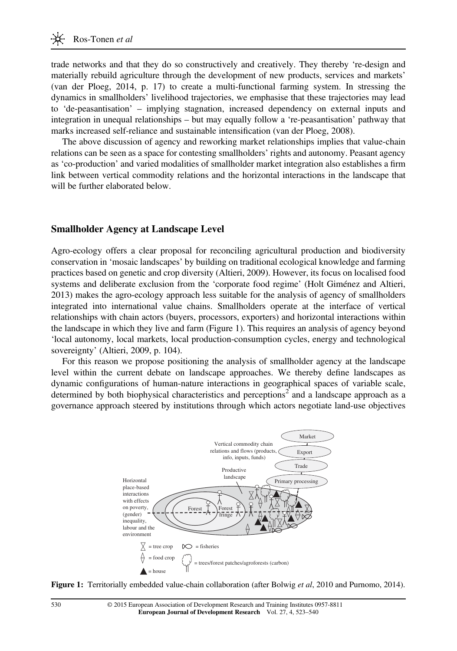trade networks and that they do so constructively and creatively. They thereby 're-design and materially rebuild agriculture through the development of new products, services and markets' (van der [Ploeg, 2014](#page-17-0), p. 17) to create a multi-functional farming system. In stressing the dynamics in smallholders' livelihood trajectories, we emphasise that these trajectories may lead to 'de-peasantisation' – implying stagnation, increased dependency on external inputs and integration in unequal relationships – but may equally follow a 're-peasantisation' pathway that marks increased self-reliance and sustainable intensification (van der [Ploeg, 2008\)](#page-17-0).

The above discussion of agency and reworking market relationships implies that value-chain relations can be seen as a space for contesting smallholders' rights and autonomy. Peasant agency as 'co-production' and varied modalities of smallholder market integration also establishes a firm link between vertical commodity relations and the horizontal interactions in the landscape that will be further elaborated below.

#### Smallholder Agency at Landscape Level

Agro-ecology offers a clear proposal for reconciling agricultural production and biodiversity conservation in 'mosaic landscapes' by building on traditional ecological knowledge and farming practices based on genetic and crop diversity [\(Altieri, 2009](#page-13-0)). However, its focus on localised food systems and deliberate exclusion from the 'corporate food regime' [\(Holt Giménez and Altieri,](#page-15-0) [2013](#page-15-0)) makes the agro-ecology approach less suitable for the analysis of agency of smallholders integrated into international value chains. Smallholders operate at the interface of vertical relationships with chain actors (buyers, processors, exporters) and horizontal interactions within the landscape in which they live and farm (Figure 1). This requires an analysis of agency beyond 'local autonomy, local markets, local production-consumption cycles, energy and technological sovereignty' [\(Altieri, 2009](#page-13-0), p. 104).

For this reason we propose positioning the analysis of smallholder agency at the landscape level within the current debate on landscape approaches. We thereby define landscapes as dynamic configurations of human-nature interactions in geographical spaces of variable scale, determined by both biophysical characteristics and perceptions<sup>2</sup> and a landscape approach as a governance approach steered by institutions through which actors negotiate land-use objectives



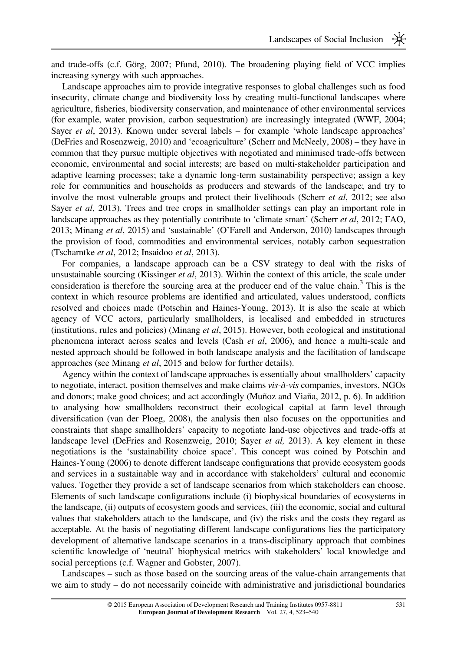and trade-offs (c.f. [Görg, 2007](#page-15-0); [Pfund, 2010](#page-16-0)). The broadening playing field of VCC implies increasing synergy with such approaches.

Landscape approaches aim to provide integrative responses to global challenges such as food insecurity, climate change and biodiversity loss by creating multi-functional landscapes where agriculture, fisheries, biodiversity conservation, and maintenance of other environmental services (for example, water provision, carbon sequestration) are increasingly integrated ([WWF, 2004](#page-18-0); Sayer et al[, 2013\)](#page-17-0). Known under several labels – for example 'whole landscape approaches' ([DeFries and Rosenzweig, 2010\)](#page-14-0) and 'ecoagriculture' ([Scherr and McNeely, 2008\)](#page-17-0) – they have in common that they pursue multiple objectives with negotiated and minimised trade-offs between economic, environmental and social interests; are based on multi-stakeholder participation and adaptive learning processes; take a dynamic long-term sustainability perspective; assign a key role for communities and households as producers and stewards of the landscape; and try to involve the most vulnerable groups and protect their livelihoods [\(Scherr](#page-17-0) *et al.* 2012; see also Sayer *et al*[, 2013\)](#page-17-0). Trees and tree crops in smallholder settings can play an important role in landscape approaches as they potentially contribute to 'climate smart' ([Scherr](#page-17-0) *et al*, 2012; [FAO,](#page-15-0) [2013](#page-15-0); [Minang](#page-16-0) et al, 2015) and 'sustainable' (O'Farell and Anderson, 2010) landscapes through the provision of food, commodities and environmental services, notably carbon sequestration ([Tscharntke](#page-17-0) et al, 2012; [Insaidoo](#page-15-0) et al, 2013).

For companies, a landscape approach can be a CSV strategy to deal with the risks of unsustainable sourcing ([Kissinger](#page-15-0) et al, 2013). Within the context of this article, the scale under consideration is therefore the sourcing area at the producer end of the value chain.<sup>3</sup> This is the context in which resource problems are identified and articulated, values understood, conflicts resolved and choices made [\(Potschin and Haines-Young, 2013](#page-17-0)). It is also the scale at which agency of VCC actors, particularly smallholders, is localised and embedded in structures (institutions, rules and policies) ([Minang](#page-16-0) et al, 2015). However, both ecological and institutional phenomena interact across scales and levels (Cash et al[, 2006](#page-14-0)), and hence a multi-scale and nested approach should be followed in both landscape analysis and the facilitation of landscape approaches (see [Minang](#page-16-0) et al, 2015 and below for further details).

Agency within the context of landscape approaches is essentially about smallholders' capacity to negotiate, interact, position themselves and make claims vis-à-vis companies, investors, NGOs and donors; make good choices; and act accordingly ([Muñoz and Viaña, 2012](#page-16-0), p. 6). In addition to analysing how smallholders reconstruct their ecological capital at farm level through diversification (van der [Ploeg, 2008](#page-17-0)), the analysis then also focuses on the opportunities and constraints that shape smallholders' capacity to negotiate land-use objectives and trade-offs at landscape level ([DeFries and Rosenzweig, 2010](#page-14-0); [Sayer](#page-17-0) *et al*, 2013). A key element in these negotiations is the 'sustainability choice space'. This concept was coined by [Potschin and](#page-17-0) [Haines-Young \(2006\)](#page-17-0) to denote different landscape configurations that provide ecosystem goods and services in a sustainable way and in accordance with stakeholders' cultural and economic values. Together they provide a set of landscape scenarios from which stakeholders can choose. Elements of such landscape configurations include (i) biophysical boundaries of ecosystems in the landscape, (ii) outputs of ecosystem goods and services, (iii) the economic, social and cultural values that stakeholders attach to the landscape, and (iv) the risks and the costs they regard as acceptable. At the basis of negotiating different landscape configurations lies the participatory development of alternative landscape scenarios in a trans-disciplinary approach that combines scientific knowledge of 'neutral' biophysical metrics with stakeholders' local knowledge and social perceptions (c.f. [Wagner and Gobster, 2007\)](#page-18-0).

Landscapes – such as those based on the sourcing areas of the value-chain arrangements that we aim to study – do not necessarily coincide with administrative and jurisdictional boundaries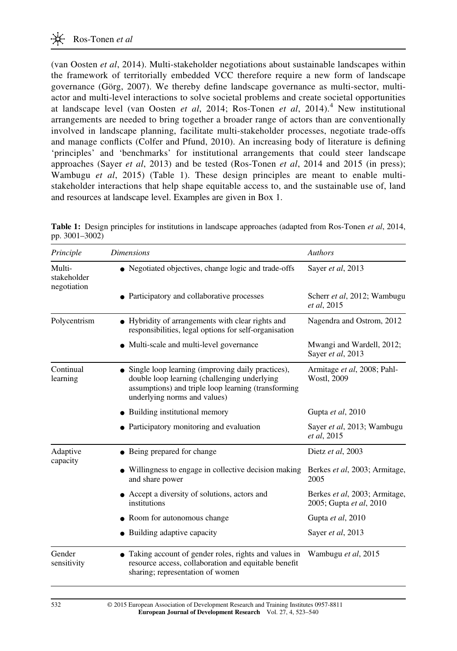(van [Oosten](#page-16-0) et al, 2014). Multi-stakeholder negotiations about sustainable landscapes within the framework of territorially embedded VCC therefore require a new form of landscape governance ([Görg, 2007\)](#page-15-0). We thereby define landscape governance as multi-sector, multiactor and multi-level interactions to solve societal problems and create societal opportunities at landscape level (van [Oosten](#page-16-0) *et al*, 2014; [Ros-Tonen](#page-17-0) *et al*, 2014).<sup>4</sup> New institutional arrangements are needed to bring together a broader range of actors than are conventionally involved in landscape planning, facilitate multi-stakeholder processes, negotiate trade-offs and manage conflicts ([Colfer and Pfund, 2010](#page-14-0)). An increasing body of literature is defining 'principles' and 'benchmarks' for institutional arrangements that could steer landscape approaches (Sayer et al[, 2013](#page-17-0)) and be tested ([Ros-Tonen](#page-17-0) et al, 2014 and [2015](#page-17-0) (in press); [Wambugu](#page-18-0) *et al.* 2015) (Table 1). These design principles are meant to enable multistakeholder interactions that help shape equitable access to, and the sustainable use of, land and resources at landscape level. Examples are given in [Box 1.](#page-11-0)

| Principle                            | <i>Dimensions</i>                                                                                                                                                                          | Authors                                                  |
|--------------------------------------|--------------------------------------------------------------------------------------------------------------------------------------------------------------------------------------------|----------------------------------------------------------|
| Multi-<br>stakeholder<br>negotiation | • Negotiated objectives, change logic and trade-offs                                                                                                                                       | Sayer et al, 2013                                        |
|                                      | • Participatory and collaborative processes                                                                                                                                                | Scherr et al, 2012; Wambugu<br><i>et al.</i> 2015        |
| Polycentrism                         | • Hybridity of arrangements with clear rights and<br>responsibilities, legal options for self-organisation                                                                                 | Nagendra and Ostrom, 2012                                |
|                                      | • Multi-scale and multi-level governance                                                                                                                                                   | Mwangi and Wardell, 2012;<br>Sayer et al, 2013           |
| Continual<br>learning                | • Single loop learning (improving daily practices),<br>double loop learning (challenging underlying<br>assumptions) and triple loop learning (transforming<br>underlying norms and values) | Armitage et al, 2008; Pahl-<br>Wostl, 2009               |
|                                      | • Building institutional memory                                                                                                                                                            | Gupta et al, 2010                                        |
|                                      | • Participatory monitoring and evaluation                                                                                                                                                  | Sayer et al, 2013; Wambugu<br>et al, 2015                |
| Adaptive<br>capacity                 | • Being prepared for change                                                                                                                                                                | Dietz et al, 2003                                        |
|                                      | • Willingness to engage in collective decision making<br>and share power                                                                                                                   | Berkes et al, 2003; Armitage,<br>2005                    |
|                                      | • Accept a diversity of solutions, actors and<br>institutions                                                                                                                              | Berkes et al, 2003; Armitage,<br>2005; Gupta et al, 2010 |
|                                      | • Room for autonomous change                                                                                                                                                               | Gupta et al, 2010                                        |
|                                      | $\bullet$ Building adaptive capacity                                                                                                                                                       | Sayer et al, 2013                                        |
| Gender<br>sensitivity                | • Taking account of gender roles, rights and values in<br>resource access, collaboration and equitable benefit<br>sharing; representation of women                                         | Wambugu et al, 2015                                      |

Table 1: Design principles for institutions in landscape approaches (adapted from [Ros-Tonen](#page-17-0) et al, 2014, pp. 3001–3002)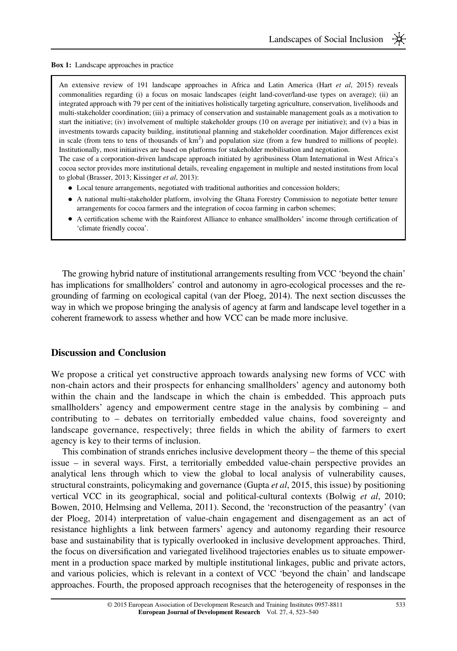<span id="page-11-0"></span>Box 1: Landscape approaches in practice

An extensive review of 191 landscape approaches in Africa and Latin America (Hart et al, 2015) reveals commonalities regarding (i) a focus on mosaic landscapes (eight land-cover/land-use types on average); (ii) an integrated approach with 79 per cent of the initiatives holistically targeting agriculture, conservation, livelihoods and multi-stakeholder coordination; (iii) a primacy of conservation and sustainable management goals as a motivation to start the initiative; (iv) involvement of multiple stakeholder groups (10 on average per initiative); and (v) a bias in investments towards capacity building, institutional planning and stakeholder coordination. Major differences exist in scale (from tens to tens of thousands of  $km<sup>2</sup>$ ) and population size (from a few hundred to millions of people). Institutionally, most initiatives are based on platforms for stakeholder mobilisation and negotiation.

The case of a corporation-driven landscape approach initiated by agribusiness Olam International in West Africa's cocoa sector provides more institutional details, revealing engagement in multiple and nested institutions from local to global [\(Brasser, 2013;](#page-14-0) [Kissinger](#page-15-0) et al, 2013):

- Local tenure arrangements, negotiated with traditional authorities and concession holders;
- A national multi-stakeholder platform, involving the Ghana Forestry Commission to negotiate better tenure arrangements for cocoa farmers and the integration of cocoa farming in carbon schemes;
- A certification scheme with the Rainforest Alliance to enhance smallholders' income through certification of 'climate friendly cocoa'.

The growing hybrid nature of institutional arrangements resulting from VCC 'beyond the chain' has implications for smallholders' control and autonomy in agro-ecological processes and the regrounding of farming on ecological capital (van der [Ploeg, 2014](#page-17-0)). The next section discusses the way in which we propose bringing the analysis of agency at farm and landscape level together in a coherent framework to assess whether and how VCC can be made more inclusive.

#### Discussion and Conclusion

We propose a critical yet constructive approach towards analysing new forms of VCC with non-chain actors and their prospects for enhancing smallholders' agency and autonomy both within the chain and the landscape in which the chain is embedded. This approach puts smallholders' agency and empowerment centre stage in the analysis by combining – and contributing to – debates on territorially embedded value chains, food sovereignty and landscape governance, respectively; three fields in which the ability of farmers to exert agency is key to their terms of inclusion.

This combination of strands enriches inclusive development theory – the theme of this special issue – in several ways. First, a territorially embedded value-chain perspective provides an analytical lens through which to view the global to local analysis of vulnerability causes, structural constraints, policymaking and governance (Gupta *et al*[, 2015,](#page-15-0) this issue) by positioning vertical VCC in its geographical, social and political-cultural contexts [\(Bolwig](#page-14-0) et al, 2010; [Bowen, 2010,](#page-14-0) [Helmsing and Vellema, 2011\)](#page-15-0). Second, the 'reconstruction of the peasantry' (van der [Ploeg, 2014](#page-17-0)) interpretation of value-chain engagement and disengagement as an act of resistance highlights a link between farmers' agency and autonomy regarding their resource base and sustainability that is typically overlooked in inclusive development approaches. Third, the focus on diversification and variegated livelihood trajectories enables us to situate empowerment in a production space marked by multiple institutional linkages, public and private actors, and various policies, which is relevant in a context of VCC 'beyond the chain' and landscape approaches. Fourth, the proposed approach recognises that the heterogeneity of responses in the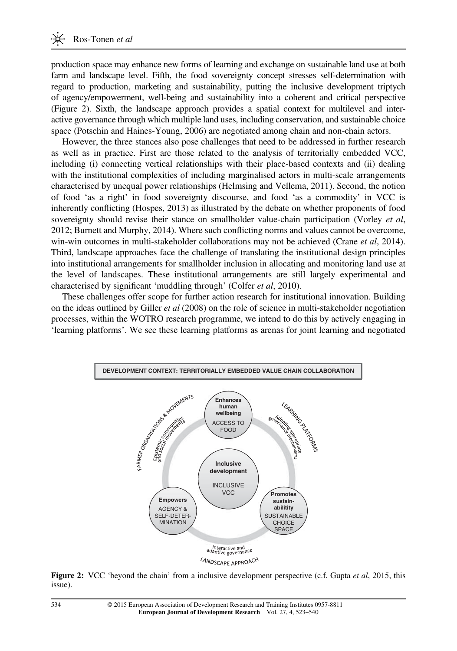production space may enhance new forms of learning and exchange on sustainable land use at both farm and landscape level. Fifth, the food sovereignty concept stresses self-determination with regard to production, marketing and sustainability, putting the inclusive development triptych of agency/empowerment, well-being and sustainability into a coherent and critical perspective (Figure 2). Sixth, the landscape approach provides a spatial context for multilevel and interactive governance through which multiple land uses, including conservation, and sustainable choice space [\(Potschin and Haines-Young, 2006\)](#page-17-0) are negotiated among chain and non-chain actors.

However, the three stances also pose challenges that need to be addressed in further research as well as in practice. First are those related to the analysis of territorially embedded VCC, including (i) connecting vertical relationships with their place-based contexts and (ii) dealing with the institutional complexities of including marginalised actors in multi-scale arrangements characterised by unequal power relationships [\(Helmsing and Vellema, 2011\)](#page-15-0). Second, the notion of food 'as a right' in food sovereignty discourse, and food 'as a commodity' in VCC is inherently conflicting [\(Hospes, 2013\)](#page-15-0) as illustrated by the debate on whether proponents of food sovereignty should revise their stance on smallholder value-chain participation [\(Vorley](#page-18-0) et al, [2012](#page-18-0); [Burnett and Murphy, 2014\)](#page-14-0). Where such conflicting norms and values cannot be overcome, win-win outcomes in multi-stakeholder collaborations may not be achieved (Crane *et al*[, 2014](#page-14-0)). Third, landscape approaches face the challenge of translating the institutional design principles into institutional arrangements for smallholder inclusion in allocating and monitoring land use at the level of landscapes. These institutional arrangements are still largely experimental and characterised by significant 'muddling through' (Colfer et al[, 2010\)](#page-14-0).

These challenges offer scope for further action research for institutional innovation. Building on the ideas outlined by Giller et al [\(2008\)](#page-15-0) on the role of science in multi-stakeholder negotiation processes, within the WOTRO research programme, we intend to do this by actively engaging in 'learning platforms'. We see these learning platforms as arenas for joint learning and negotiated



Figure 2: VCC 'beyond the chain' from a inclusive development perspective (c.f. Gupta *et al*[, 2015](#page-15-0), this issue).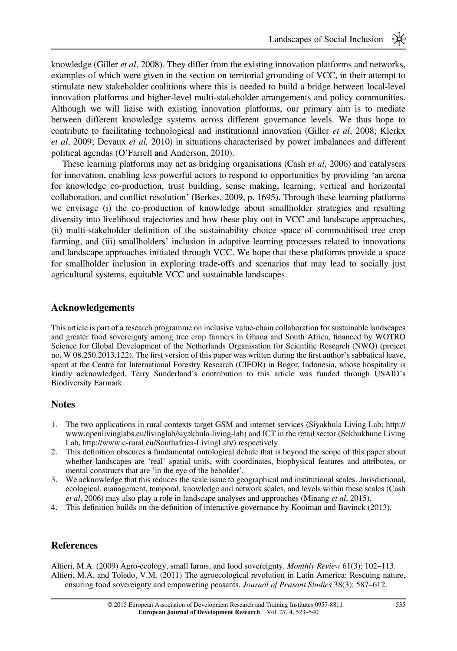<span id="page-13-0"></span>knowledge (Giller et al[, 2008](#page-15-0)). They differ from the existing innovation platforms and networks, examples of which were given in the section on territorial grounding of VCC, in their attempt to stimulate new stakeholder coalitions where this is needed to build a bridge between local-level innovation platforms and higher-level multi-stakeholder arrangements and policy communities. Although we will liaise with existing innovation platforms, our primary aim is to mediate between different knowledge systems across different governance levels. We thus hope to contribute to facilitating technological and institutional innovation (Giller *et al*[, 2008; Klerkx](#page-15-0) et al[, 2009](#page-15-0); [Devaux](#page-14-0) et al, 2010) in situations characterised by power imbalances and different political agendas (O'[Farrell and Anderson, 2010](#page-16-0)).

These learning platforms may act as bridging organisations (Cash et al[, 2006\)](#page-14-0) and catalysers for innovation, enabling less powerful actors to respond to opportunities by providing 'an arena for knowledge co-production, trust building, sense making, learning, vertical and horizontal collaboration, and conflict resolution' ([Berkes, 2009](#page-14-0), p. 1695). Through these learning platforms we envisage (i) the co-production of knowledge about smallholder strategies and resulting diversity into livelihood trajectories and how these play out in VCC and landscape approaches, (ii) multi-stakeholder definition of the sustainability choice space of commoditised tree crop farming, and (iii) smallholders' inclusion in adaptive learning processes related to innovations and landscape approaches initiated through VCC. We hope that these platforms provide a space for smallholder inclusion in exploring trade-offs and scenarios that may lead to socially just agricultural systems, equitable VCC and sustainable landscapes.

### Acknowledgements

This article is part of a research programme on inclusive value-chain collaboration for sustainable landscapes and greater food sovereignty among tree crop farmers in Ghana and South Africa, financed by WOTRO Science for Global Development of the Netherlands Organisation for Scientific Research (NWO) (project no. W 08.250.2013.122). The first version of this paper was written during the first author's sabbatical leave, spent at the Centre for International Forestry Research (CIFOR) in Bogor, Indonesia, whose hospitality is kindly acknowledged. Terry Sunderland's contribution to this article was funded through USAID's Biodiversity Earmark.

## **Notes**

- 1. The two applications in rural contexts target GSM and internet services (Siyakhula Living Lab; [http://](http://www.openlivinglabs.eu/livinglab/siyakhula-living-lab) [www.openlivinglabs.eu/livinglab/siyakhula-living-lab](http://www.openlivinglabs.eu/livinglab/siyakhula-living-lab)) and ICT in the retail sector (Sekhukhune Living Lab,<http://www.c-rural.eu/Southafrica-LivingLab/>) respectively.
- 2. This definition obscures a fundamental ontological debate that is beyond the scope of this paper about whether landscapes are 'real' spatial units, with coordinates, biophysical features and attributes, or mental constructs that are 'in the eye of the beholder'.
- 3. We acknowledge that this reduces the scale issue to geographical and institutional scales. Jurisdictional, ecological, management, temporal, knowledge and network scales, and levels within these scales [\(Cash](#page-14-0) et al[, 2006](#page-14-0)) may also play a role in landscape analyses and approaches ([Minang](#page-16-0) et al, 2015).
- 4. This definition builds on the definition of interactive governance by [Kooiman and Bavinck \(2013\).](#page-16-0)

## References

Altieri, M.A. (2009) Agro-ecology, small farms, and food sovereignty. Monthly Review 61(3): 102–113. Altieri, M.A. and Toledo, V.M. (2011) The agroecological revolution in Latin America: Rescuing nature, ensuring food sovereignty and empowering peasants. Journal of Peasant Studies 38(3): 587-612.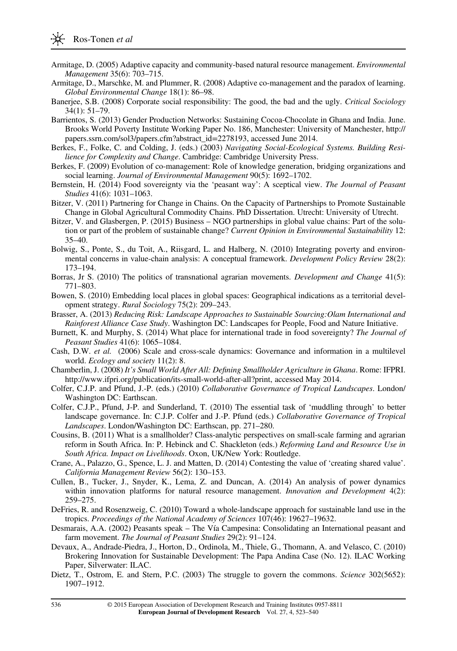- <span id="page-14-0"></span>Armitage, D. (2005) Adaptive capacity and community-based natural resource management. Environmental Management 35(6): 703–715.
- Armitage, D., Marschke, M. and Plummer, R. (2008) Adaptive co-management and the paradox of learning. Global Environmental Change 18(1): 86–98.
- Banerjee, S.B. (2008) Corporate social responsibility: The good, the bad and the ugly. Critical Sociology 34(1): 51–79.
- Barrientos, S. (2013) Gender Production Networks: Sustaining Cocoa-Chocolate in Ghana and India. June. Brooks World Poverty Institute Working Paper No. 186, Manchester: University of Manchester, [http://](http://papers.ssrn.com/sol3/papers.cfm?abstract_id=2278193) [papers.ssrn.com/sol3/papers.cfm?abstract\\_id](http://papers.ssrn.com/sol3/papers.cfm?abstract_id=2278193)=2278193, accessed June 2014.
- Berkes, F., Folke, C. and Colding, J. (eds.) (2003) Navigating Social-Ecological Systems. Building Resilience for Complexity and Change. Cambridge: Cambridge University Press.
- Berkes, F. (2009) Evolution of co-management: Role of knowledge generation, bridging organizations and social learning. Journal of Environmental Management 90(5): 1692-1702.
- Bernstein, H. (2014) Food sovereignty via the 'peasant way': A sceptical view. The Journal of Peasant Studies 41(6): 1031–1063.
- Bitzer, V. (2011) Partnering for Change in Chains. On the Capacity of Partnerships to Promote Sustainable Change in Global Agricultural Commodity Chains. PhD Dissertation. Utrecht: University of Utrecht.
- Bitzer, V. and Glasbergen, P. (2015) Business NGO partnerships in global value chains: Part of the solution or part of the problem of sustainable change? Current Opinion in Environmental Sustainability 12: 35–40.
- Bolwig, S., Ponte, S., du Toit, A., Riisgard, L. and Halberg, N. (2010) Integrating poverty and environmental concerns in value-chain analysis: A conceptual framework. *Development Policy Review* 28(2): 173–194.
- Borras, Jr S. (2010) The politics of transnational agrarian movements. Development and Change 41(5): 771–803.
- Bowen, S. (2010) Embedding local places in global spaces: Geographical indications as a territorial development strategy. Rural Sociology 75(2): 209–243.
- Brasser, A. (2013) Reducing Risk: Landscape Approaches to Sustainable Sourcing:Olam International and Rainforest Alliance Case Study. Washington DC: Landscapes for People, Food and Nature Initiative.
- Burnett, K. and Murphy, S. (2014) What place for international trade in food sovereignty? The Journal of Peasant Studies 41(6): 1065–1084.
- Cash, D.W. et al. (2006) Scale and cross-scale dynamics: Governance and information in a multilevel world. Ecology and society 11(2): 8.
- Chamberlin, J. (2008) It's Small World After All: Defining Smallholder Agriculture in Ghana. Rome: IFPRI. [http://www.ifpri.org/publication/its-small-world-after-all?print,](http://www.ifpri.org/publication/its-small-world-after-all?print) accessed May 2014.
- Colfer, C.J.P. and Pfund, J.-P. (eds.) (2010) Collaborative Governance of Tropical Landscapes. London/ Washington DC: Earthscan.
- Colfer, C.J.P., Pfund, J-P. and Sunderland, T. (2010) The essential task of 'muddling through' to better landscape governance. In: C.J.P. Colfer and J.-P. Pfund (eds.) Collaborative Governance of Tropical Landscapes. London/Washington DC: Earthscan, pp. 271–280.
- Cousins, B. (2011) What is a smallholder? Class-analytic perspectives on small-scale farming and agrarian reform in South Africa. In: P. Hebinck and C. Shackleton (eds.) Reforming Land and Resource Use in South Africa. Impact on Livelihoods. Oxon, UK/New York: Routledge.
- Crane, A., Palazzo, G., Spence, L. J. and Matten, D. (2014) Contesting the value of 'creating shared value'. California Management Review 56(2): 130–153.
- Cullen, B., Tucker, J., Snyder, K., Lema, Z. and Duncan, A. (2014) An analysis of power dynamics within innovation platforms for natural resource management. *Innovation and Development* 4(2): 259–275.
- DeFries, R. and Rosenzweig, C. (2010) Toward a whole-landscape approach for sustainable land use in the tropics. Proceedings of the National Academy of Sciences 107(46): 19627–19632.
- Desmarais, A.A. (2002) Peasants speak The Vía Campesina: Consolidating an International peasant and farm movement. The Journal of Peasant Studies 29(2): 91-124.
- Devaux, A., Andrade-Piedra, J., Horton, D., Ordinola, M., Thiele, G., Thomann, A. and Velasco, C. (2010) Brokering Innovation for Sustainable Development: The Papa Andina Case (No. 12). ILAC Working Paper, Silverwater: ILAC.
- Dietz, T., Ostrom, E. and Stern, P.C. (2003) The struggle to govern the commons. Science 302(5652): 1907–1912.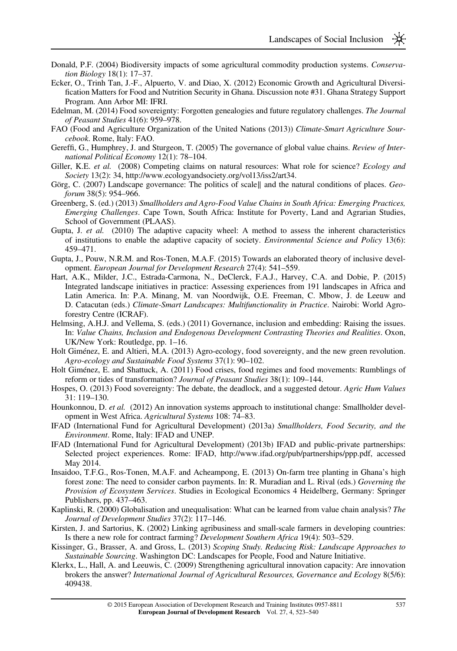- <span id="page-15-0"></span>Donald, P.F. (2004) Biodiversity impacts of some agricultural commodity production systems. Conservation Biology 18(1): 17–37.
- Ecker, O., Trinh Tan, J.-F., Alpuerto, V. and Diao, X. (2012) Economic Growth and Agricultural Diversification Matters for Food and Nutrition Security in Ghana. Discussion note #31. Ghana Strategy Support Program. Ann Arbor MI: IFRI.
- Edelman, M. (2014) Food sovereignty: Forgotten genealogies and future regulatory challenges. The Journal of Peasant Studies 41(6): 959–978.
- FAO (Food and Agriculture Organization of the United Nations (2013)) Climate-Smart Agriculture Sourcebook. Rome, Italy: FAO.
- Gereffi, G., Humphrey, J. and Sturgeon, T. (2005) The governance of global value chains. Review of International Political Economy 12(1): 78–104.
- Giller, K.E. et al. (2008) Competing claims on natural resources: What role for science? *Ecology and* Society 13(2): 34,<http://www.ecologyandsociety.org/vol13/iss2/art34>.
- Görg, C. (2007) Landscape governance: The politics of scale|| and the natural conditions of places. Geoforum 38(5): 954–966.
- Greenberg, S. (ed.) (2013) Smallholders and Agro-Food Value Chains in South Africa: Emerging Practices, Emerging Challenges. Cape Town, South Africa: Institute for Poverty, Land and Agrarian Studies, School of Government (PLAAS).
- Gupta, J. et al. (2010) The adaptive capacity wheel: A method to assess the inherent characteristics of institutions to enable the adaptive capacity of society. *Environmental Science and Policy* 13(6): 459–471.
- Gupta, J., Pouw, N.R.M. and Ros-Tonen, M.A.F. (2015) Towards an elaborated theory of inclusive development. European Journal for Development Research 27(4): 541–559.
- Hart, A.K., Milder, J.C., Estrada-Carmona, N., DeClerck, F.A.J., Harvey, C.A. and Dobie, P. (2015) Integrated landscape initiatives in practice: Assessing experiences from 191 landscapes in Africa and Latin America. In: P.A. Minang, M. van Noordwijk, O.E. Freeman, C. Mbow, J. de Leeuw and D. Catacutan (eds.) Climate-Smart Landscapes: Multifunctionality in Practice. Nairobi: World Agroforestry Centre (ICRAF).
- Helmsing, A.H.J. and Vellema, S. (eds.) (2011) Governance, inclusion and embedding: Raising the issues. In: Value Chains, Inclusion and Endogenous Development Contrasting Theories and Realities. Oxon, UK/New York: Routledge, pp. 1–16.
- Holt Giménez, E. and Altieri, M.A. (2013) Agro-ecology, food sovereignty, and the new green revolution. Agro-ecology and Sustainable Food Systems 37(1): 90–102.
- Holt Giménez, E. and Shattuck, A. (2011) Food crises, food regimes and food movements: Rumblings of reform or tides of transformation? Journal of Peasant Studies 38(1): 109–144.
- Hospes, O. (2013) Food sovereignty: The debate, the deadlock, and a suggested detour. Agric Hum Values 31: 119–130.
- Hounkonnou, D. et al. (2012) An innovation systems approach to institutional change: Smallholder development in West Africa. Agricultural Systems 108: 74–83.
- IFAD (International Fund for Agricultural Development) (2013a) Smallholders, Food Security, and the Environment. Rome, Italy: IFAD and UNEP.
- IFAD (International Fund for Agricultural Development) (2013b) IFAD and public-private partnerships: Selected project experiences. Rome: IFAD,<http://www.ifad.org/pub/partnerships/ppp.pdf>, accessed May 2014.
- Insaidoo, T.F.G., Ros-Tonen, M.A.F. and Acheampong, E. (2013) On-farm tree planting in Ghana's high forest zone: The need to consider carbon payments. In: R. Muradian and L. Rival (eds.) Governing the Provision of Ecosystem Services. Studies in Ecological Economics 4 Heidelberg, Germany: Springer Publishers, pp. 437–463.
- Kaplinski, R. (2000) Globalisation and unequalisation: What can be learned from value chain analysis? The Journal of Development Studies 37(2): 117–146.
- Kirsten, J. and Sartorius, K. (2002) Linking agribusiness and small-scale farmers in developing countries: Is there a new role for contract farming? Development Southern Africa 19(4): 503–529.
- Kissinger, G., Brasser, A. and Gross, L. (2013) Scoping Study. Reducing Risk: Landscape Approaches to Sustainable Sourcing. Washington DC: Landscapes for People, Food and Nature Initiative.
- Klerkx, L., Hall, A. and Leeuwis, C. (2009) Strengthening agricultural innovation capacity: Are innovation brokers the answer? International Journal of Agricultural Resources, Governance and Ecology 8(5/6): 409438.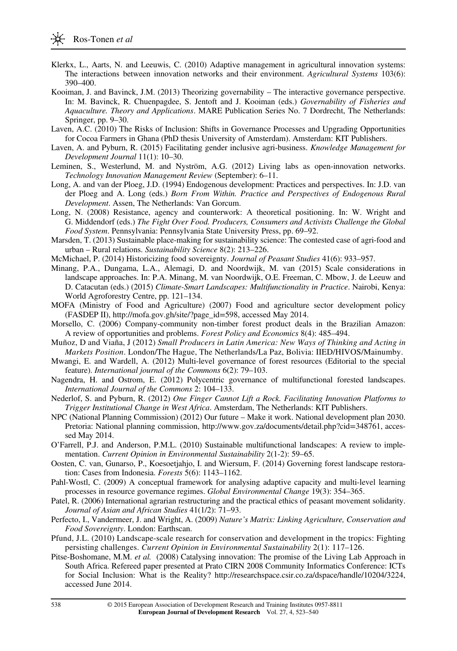- <span id="page-16-0"></span>Klerkx, L., Aarts, N. and Leeuwis, C. (2010) Adaptive management in agricultural innovation systems: The interactions between innovation networks and their environment. Agricultural Systems 103(6): 390–400.
- Kooiman, J. and Bavinck, J.M. (2013) Theorizing governability The interactive governance perspective. In: M. Bavinck, R. Chuenpagdee, S. Jentoft and J. Kooiman (eds.) Governability of Fisheries and Aquaculture. Theory and Applications. MARE Publication Series No. 7 Dordrecht, The Netherlands: Springer, pp. 9–30.
- Laven, A.C. (2010) The Risks of Inclusion: Shifts in Governance Processes and Upgrading Opportunities for Cocoa Farmers in Ghana (PhD thesis University of Amsterdam). Amsterdam: KIT Publishers.
- Laven, A. and Pyburn, R. (2015) Facilitating gender inclusive agri-business. Knowledge Management for Development Journal 11(1): 10–30.
- Leminen, S., Westerlund, M. and Nyström, A.G. (2012) Living labs as open-innovation networks. Technology Innovation Management Review (September): 6–11.
- Long, A. and van der Ploeg, J.D. (1994) Endogenous development: Practices and perspectives. In: J.D. van der Ploeg and A. Long (eds.) Born From Within. Practice and Perspectives of Endogenous Rural Development. Assen, The Netherlands: Van Gorcum.
- Long, N. (2008) Resistance, agency and counterwork: A theoretical positioning. In: W. Wright and G. Middendorf (eds.) The Fight Over Food. Producers, Consumers and Activists Challenge the Global Food System. Pennsylvania: Pennsylvania State University Press, pp. 69–92.
- Marsden, T. (2013) Sustainable place-making for sustainability science: The contested case of agri-food and urban – Rural relations. Sustainability Science 8(2): 213–226.
- McMichael, P. (2014) Historicizing food sovereignty. Journal of Peasant Studies 41(6): 933–957.
- Minang, P.A., Dungama, L.A., Alemagi, D. and Noordwijk, M. van (2015) Scale considerations in landscape approaches. In: P.A. Minang, M. van Noordwijk, O.E. Freeman, C. Mbow, J. de Leeuw and D. Catacutan (eds.) (2015) Climate-Smart Landscapes: Multifunctionality in Practice. Nairobi, Kenya: World Agroforestry Centre, pp. 121–134.
- MOFA (Ministry of Food and Agriculture) (2007) Food and agriculture sector development policy (FASDEP II), [http://mofa.gov.gh/site/?page\\_id](http://mofa.gov.gh/site/?page_id=598)=598, accessed May 2014.
- Morsello, C. (2006) Company-community non-timber forest product deals in the Brazilian Amazon: A review of opportunities and problems. Forest Policy and Economics 8(4): 485–494.
- Muñoz, D and Viaña, J (2012) Small Producers in Latin America: New Ways of Thinking and Acting in Markets Position. London/The Hague, The Netherlands/La Paz, Bolivia: IIED/HIVOS/Mainumby.
- Mwangi, E. and Wardell, A. (2012) Multi-level governance of forest resources (Editorial to the special feature). International journal of the Commons 6(2): 79–103.
- Nagendra, H. and Ostrom, E. (2012) Polycentric governance of multifunctional forested landscapes. International Journal of the Commons 2: 104–133.
- Nederlof, S. and Pyburn, R. (2012) One Finger Cannot Lift a Rock. Facilitating Innovation Platforms to Trigger Institutional Change in West Africa. Amsterdam, The Netherlands: KIT Publishers.
- NPC (National Planning Commission) (2012) Our future Make it work. National development plan 2030. Pretoria: National planning commission, [http://www.gov.za/documents/detail.php?cid](http://www.gov.za/documents/detail.php?cid=348761)=348761, accessed May 2014.
- O'Farrell, P.J. and Anderson, P.M.L. (2010) Sustainable multifunctional landscapes: A review to implementation. Current Opinion in Environmental Sustainability 2(1-2): 59-65.
- Oosten, C. van, Gunarso, P., Koesoetjahjo, I. and Wiersum, F. (2014) Governing forest landscape restoration: Cases from Indonesia. Forests 5(6): 1143-1162.
- Pahl-Wostl, C. (2009) A conceptual framework for analysing adaptive capacity and multi-level learning processes in resource governance regimes. Global Environmental Change 19(3): 354–365.
- Patel, R. (2006) International agrarian restructuring and the practical ethics of peasant movement solidarity. Journal of Asian and African Studies 41(1/2): 71–93.
- Perfecto, I., Vandermeer, J. and Wright, A. (2009) Nature's Matrix: Linking Agriculture, Conservation and Food Sovereignty. London: Earthscan.
- Pfund, J.L. (2010) Landscape-scale research for conservation and development in the tropics: Fighting persisting challenges. Current Opinion in Environmental Sustainability 2(1): 117–126.
- Pitse-Boshomane, M.M. et al. (2008) Catalysing innovation: The promise of the Living Lab Approach in South Africa. Refereed paper presented at Prato CIRN 2008 Community Informatics Conference: ICTs for Social Inclusion: What is the Reality? [http://researchspace.csir.co.za/dspace/handle/10204/3224,](http://researchspace.csir.co.za/dspace/handle/10204/3224) accessed June 2014.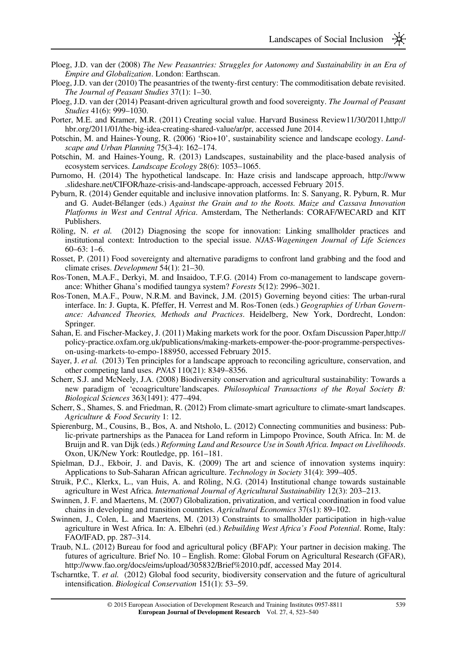- <span id="page-17-0"></span>Ploeg, J.D. van der (2008) The New Peasantries: Struggles for Autonomy and Sustainability in an Era of Empire and Globalization. London: Earthscan.
- Ploeg, J.D. van der (2010) The peasantries of the twenty-first century: The commoditisation debate revisited. The Journal of Peasant Studies 37(1): 1–30.
- Ploeg, J.D. van der (2014) Peasant-driven agricultural growth and food sovereignty. The Journal of Peasant Studies 41(6): 999–1030.
- Porter, M.E. and Kramer, M.R. (2011) Creating social value. Harvard Business Review11/30/2011,[http://](http://hbr.org/2011/01/the-big-idea-creating-shared-value/ar/pr) [hbr.org/2011/01/the-big-idea-creating-shared-value/ar/pr,](http://hbr.org/2011/01/the-big-idea-creating-shared-value/ar/pr) accessed June 2014.
- Potschin, M. and Haines-Young, R. (2006) 'Rio+10', sustainability science and landscape ecology. Landscape and Urban Planning 75(3-4): 162–174.
- Potschin, M. and Haines-Young, R. (2013) Landscapes, sustainability and the place-based analysis of ecosystem services. Landscape Ecology 28(6): 1053-1065.
- Purnomo, H. (2014) The hypothetical landscape. In: Haze crisis and landscape approach, [http://www](http://www.slideshare.net/CIFOR/haze-crisis-and-landscape-approach) [.slideshare.net/CIFOR/haze-crisis-and-landscape-approach,](http://www.slideshare.net/CIFOR/haze-crisis-and-landscape-approach) accessed February 2015.
- Pyburn, R. (2014) Gender equitable and inclusive innovation platforms. In: S. Sanyang, R. Pyburn, R. Mur and G. Audet-Bélanger (eds.) Against the Grain and to the Roots. Maize and Cassava Innovation Platforms in West and Central Africa. Amsterdam, The Netherlands: CORAF/WECARD and KIT Publishers.
- Röling, N. et al. (2012) Diagnosing the scope for innovation: Linking smallholder practices and institutional context: Introduction to the special issue. NJAS-Wageningen Journal of Life Sciences 60–63: 1–6.
- Rosset, P. (2011) Food sovereignty and alternative paradigms to confront land grabbing and the food and climate crises. Development 54(1): 21–30.
- Ros-Tonen, M.A.F., Derkyi, M. and Insaidoo, T.F.G. (2014) From co-management to landscape governance: Whither Ghana's modified taungya system? Forests 5(12): 2996–3021.
- Ros-Tonen, M.A.F., Pouw, N.R.M. and Bavinck, J.M. (2015) Governing beyond cities: The urban-rural interface. In: J. Gupta, K. Pfeffer, H. Verrest and M. Ros-Tonen (eds.) Geographies of Urban Governance: Advanced Theories, Methods and Practices. Heidelberg, New York, Dordrecht, London: Springer.
- Sahan, E. and Fischer-Mackey, J. (2011) Making markets work for the poor. Oxfam Discussion Paper,[http://](http://policy-practice.oxfam.org.uk/publications/making-markets-empower-the-poor-programme-perspectives-on-using-markets-to-empo-188950) [policy-practice.oxfam.org.uk/publications/making-markets-empower-the-poor-programme-perspectives](http://policy-practice.oxfam.org.uk/publications/making-markets-empower-the-poor-programme-perspectives-on-using-markets-to-empo-188950)[on-using-markets-to-empo-188950](http://policy-practice.oxfam.org.uk/publications/making-markets-empower-the-poor-programme-perspectives-on-using-markets-to-empo-188950), accessed February 2015.
- Sayer, J. et al. (2013) Ten principles for a landscape approach to reconciling agriculture, conservation, and other competing land uses. PNAS 110(21): 8349–8356.
- Scherr, S.J. and McNeely, J.A. (2008) Biodiversity conservation and agricultural sustainability: Towards a new paradigm of 'ecoagriculture'landscapes. Philosophical Transactions of the Royal Society B: Biological Sciences 363(1491): 477–494.
- Scherr, S., Shames, S. and Friedman, R. (2012) From climate-smart agriculture to climate-smart landscapes. Agriculture & Food Security 1: 12.
- Spierenburg, M., Cousins, B., Bos, A. and Ntsholo, L. (2012) Connecting communities and business: Public-private partnerships as the Panacea for Land reform in Limpopo Province, South Africa. In: M. de Bruijn and R. van Dijk (eds.) Reforming Land and Resource Use in South Africa. Impact on Livelihoods. Oxon, UK/New York: Routledge, pp. 161–181.
- Spielman, D.J., Ekboir, J. and Davis, K. (2009) The art and science of innovation systems inquiry: Applications to Sub-Saharan African agriculture. Technology in Society 31(4): 399–405.
- Struik, P.C., Klerkx, L., van Huis, A. and Röling, N.G. (2014) Institutional change towards sustainable agriculture in West Africa. International Journal of Agricultural Sustainability 12(3): 203-213.
- Swinnen, J. F. and Maertens, M. (2007) Globalization, privatization, and vertical coordination in food value chains in developing and transition countries. Agricultural Economics 37(s1): 89–102.
- Swinnen, J., Colen, L. and Maertens, M. (2013) Constraints to smallholder participation in high-value agriculture in West Africa. In: A. Elbehri (ed.) Rebuilding West Africa's Food Potential. Rome, Italy: FAO/IFAD, pp. 287–314.
- Traub, N.L. (2012) Bureau for food and agricultural policy (BFAP): Your partner in decision making. The futures of agriculture. Brief No. 10 – English. Rome: Global Forum on Agricultural Research (GFAR), <http://www.fao.org/docs/eims/upload/305832/Brief%2010.pdf>, accessed May 2014.
- Tscharntke, T. et al. (2012) Global food security, biodiversity conservation and the future of agricultural intensification. Biological Conservation 151(1): 53–59.